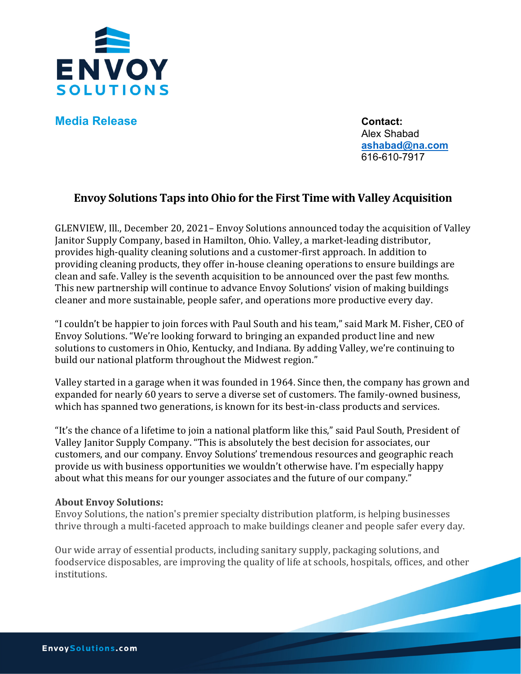

**Media Release Contact:** 

Alex Shabad  **ashabad@na.com** 616-610-7917

## **Envoy Solutions Taps into Ohio for the First Time with Valley Acquisition**

GLENVIEW, Ill., December 20, 2021– Envoy Solutions announced today the acquisition of Valley Janitor Supply Company, based in Hamilton, Ohio. Valley, a market-leading distributor, provides high-quality cleaning solutions and a customer-first approach. In addition to providing cleaning products, they offer in-house cleaning operations to ensure buildings are clean and safe. Valley is the seventh acquisition to be announced over the past few months. This new partnership will continue to advance Envoy Solutions' vision of making buildings cleaner and more sustainable, people safer, and operations more productive every day.

"I couldn't be happier to join forces with Paul South and his team," said Mark M. Fisher, CEO of Envoy Solutions. "We're looking forward to bringing an expanded product line and new solutions to customers in Ohio, Kentucky, and Indiana. By adding Valley, we're continuing to build our national platform throughout the Midwest region."

Valley started in a garage when it was founded in 1964. Since then, the company has grown and expanded for nearly 60 years to serve a diverse set of customers. The family-owned business, which has spanned two generations, is known for its best-in-class products and services.

"It's the chance of a lifetime to join a national platform like this," said Paul South, President of Valley Janitor Supply Company. "This is absolutely the best decision for associates, our customers, and our company. Envoy Solutions' tremendous resources and geographic reach provide us with business opportunities we wouldn't otherwise have. I'm especially happy about what this means for our younger associates and the future of our company."

## **About Envoy Solutions:**

Envoy Solutions, the nation's premier specialty distribution platform, is helping businesses thrive through a multi-faceted approach to make buildings cleaner and people safer every day.

Our wide array of essential products, including sanitary supply, packaging solutions, and foodservice disposables, are improving the quality of life at schools, hospitals, offices, and other institutions.